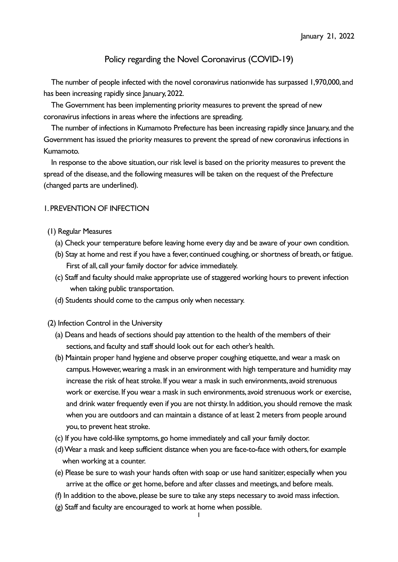# Policy regarding the Novel Coronavirus (COVID-19)

The number of people infected with the novel coronavirus nationwide has surpassed 1,970,000, and has been increasing rapidly since January, 2022.

The Government has been implementing priority measures to prevent the spread of new coronavirus infections in areas where the infections are spreading.

The number of infections in Kumamoto Prefecture has been increasing rapidly since January, and the Government has issued the priority measures to prevent the spread of new coronavirus infections in Kumamoto.

In response to the above situation, our risk level is based on the priority measures to prevent the spread of the disease, and the following measures will be taken on the request of the Prefecture (changed parts are underlined).

#### 1. PREVENTION OF INFECTION

- (1) Regular Measures
	- (a) Check your temperature before leaving home every day and be aware of your own condition.
	- (b) Stay at home and rest if you have a fever, continued coughing, or shortness of breath, or fatigue. First of all, call your family doctor for advice immediately.
	- (c) Staff and faculty should make appropriate use of staggered working hours to prevent infection when taking public transportation.
	- (d) Students should come to the campus only when necessary.
- (2) Infection Control in the University
	- (a) Deans and heads of sections should pay attention to the health of the members of their sections, and faculty and staff should look out for each other's health.
	- (b) Maintain proper hand hygiene and observe proper coughing etiquette, and wear a mask on campus. However, wearing a mask in an environment with high temperature and humidity may increase the risk of heat stroke. If you wear a mask in such environments, avoid strenuous work or exercise. If you wear a mask in such environments, avoid strenuous work or exercise, and drink water frequently even if you are not thirsty. In addition, you should remove the mask when you are outdoors and can maintain a distance of at least 2 meters from people around you, to prevent heat stroke.
	- (c) If you have cold-like symptoms, go home immediately and call your family doctor.
	- (d) Wear a mask and keep sufficient distance when you are face-to-face with others, for example when working at a counter.
	- (e) Please be sure to wash your hands often with soap or use hand sanitizer, especially when you arrive at the office or get home, before and after classes and meetings, and before meals.
	- (f) In addition to the above, please be sure to take any steps necessary to avoid mass infection.
	- (g) Staff and faculty are encouraged to work at home when possible.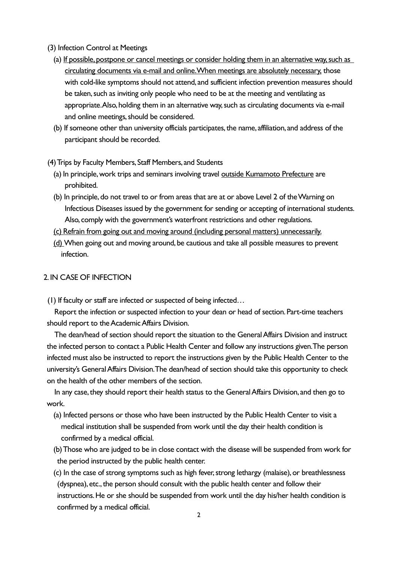- (3) Infection Control at Meetings
	- (a) If possible, postpone or cancel meetings or consider holding them in an alternative way, such as circulating documents via e-mail and online. When meetings are absolutely necessary, those with cold-like symptoms should not attend, and sufficient infection prevention measures should be taken, such as inviting only people who need to be at the meeting and ventilating as appropriate. Also, holding them in an alternative way, such as circulating documents via e-mail and online meetings, should be considered.
	- (b) If someone other than university officials participates, the name, affiliation, and address of the participant should be recorded.

(4) Trips by Faculty Members, Staff Members, and Students

- (a) In principle, work trips and seminars involving travel outside Kumamoto Prefecture are prohibited.
- (b) In principle, do not travel to or from areas that are at or above Level 2 of the Warning on Infectious Diseases issued by the government for sending or accepting of international students. Also, comply with the government's waterfront restrictions and other regulations.
- (c) Refrain from going out and moving around (including personal matters) unnecessarily.
- (d) When going out and moving around, be cautious and take all possible measures to prevent infection.

#### 2. IN CASE OF INFECTION

(1) If faculty or staff are infected or suspected of being infected…

Report the infection or suspected infection to your dean or head of section. Part-time teachers should report to the Academic Affairs Division.

The dean/head of section should report the situation to the General Affairs Division and instruct the infected person to contact a Public Health Center and follow any instructions given. The person infected must also be instructed to report the instructions given by the Public Health Center to the university's General Affairs Division. The dean/head of section should take this opportunity to check on the health of the other members of the section.

In any case, they should report their health status to the General Affairs Division, and then go to work.

- (a) Infected persons or those who have been instructed by the Public Health Center to visit a medical institution shall be suspended from work until the day their health condition is confirmed by a medical official.
- (b) Those who are judged to be in close contact with the disease will be suspended from work for the period instructed by the public health center.
- (c) In the case of strong symptoms such as high fever, strong lethargy (malaise), or breathlessness (dyspnea), etc., the person should consult with the public health center and follow their instructions. He or she should be suspended from work until the day his/her health condition is confirmed by a medical official.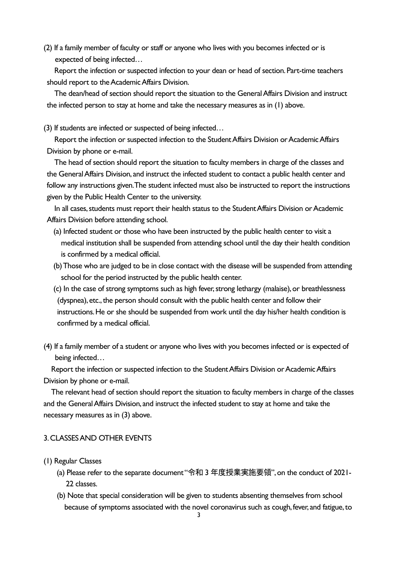(2) If a family member of faculty or staff or anyone who lives with you becomes infected or is expected of being infected…

Report the infection or suspected infection to your dean or head of section. Part-time teachers should report to the Academic Affairs Division.

The dean/head of section should report the situation to the General Affairs Division and instruct the infected person to stay at home and take the necessary measures as in (1) above.

(3) If students are infected or suspected of being infected…

Report the infection or suspected infection to the Student Affairs Division or Academic Affairs Division by phone or e-mail.

The head of section should report the situation to faculty members in charge of the classes and the General Affairs Division, and instruct the infected student to contact a public health center and follow any instructions given. The student infected must also be instructed to report the instructions given by the Public Health Center to the university.

In all cases, students must report their health status to the Student Affairs Division or Academic Affairs Division before attending school.

- (a) Infected student or those who have been instructed by the public health center to visit a medical institution shall be suspended from attending school until the day their health condition is confirmed by a medical official.
- (b) Those who are judged to be in close contact with the disease will be suspended from attending school for the period instructed by the public health center.
- (c) In the case of strong symptoms such as high fever, strong lethargy (malaise), or breathlessness (dyspnea), etc., the person should consult with the public health center and follow their instructions. He or she should be suspended from work until the day his/her health condition is confirmed by a medical official.
- (4) If a family member of a student or anyone who lives with you becomes infected or is expected of being infected…

Report the infection or suspected infection to the Student Affairs Division or Academic Affairs Division by phone or e-mail.

The relevant head of section should report the situation to faculty members in charge of the classes and the General Affairs Division, and instruct the infected student to stay at home and take the necessary measures as in (3) above.

#### 3.CLASSES AND OTHER EVENTS

- (1) Regular Classes
	- (a) Please refer to the separate document "令和 3 年度授業実施要領",on the conduct of 2021- 22 classes.
	- (b) Note that special consideration will be given to students absenting themselves from school because of symptoms associated with the novel coronavirus such as cough, fever, and fatigue, to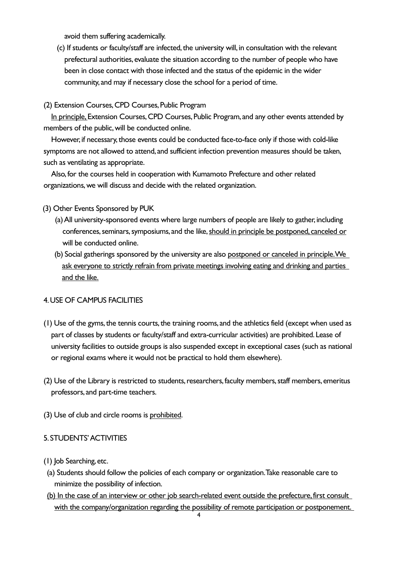avoid them suffering academically.

(c) If students or faculty/staff are infected, the university will, in consultation with the relevant prefectural authorities, evaluate the situation according to the number of people who have been in close contact with those infected and the status of the epidemic in the wider community, and may if necessary close the school for a period of time.

## (2) Extension Courses, CPD Courses, Public Program

In principle, Extension Courses, CPD Courses, Public Program, and any other events attended by members of the public, will be conducted online.

However, if necessary, those events could be conducted face-to-face only if those with cold-like symptoms are not allowed to attend, and sufficient infection prevention measures should be taken, such as ventilating as appropriate.

Also, for the courses held in cooperation with Kumamoto Prefecture and other related organizations, we will discuss and decide with the related organization.

- (3) Other Events Sponsored by PUK
	- (a) All university-sponsored events where large numbers of people are likely to gather, including conferences, seminars, symposiums, and the like, should in principle be postponed, canceled or will be conducted online.
	- (b) Social gatherings sponsored by the university are also postponed or canceled in principle. We ask everyone to strictly refrain from private meetings involving eating and drinking and parties and the like.

# 4. USE OF CAMPUS FACILITIES

- (1) Use of the gyms, the tennis courts, the training rooms, and the athletics field (except when used as part of classes by students or faculty/staff and extra-curricular activities) are prohibited. Lease of university facilities to outside groups is also suspended except in exceptional cases (such as national or regional exams where it would not be practical to hold them elsewhere).
- (2) Use of the Library is restricted to students, researchers, faculty members, staff members, emeritus professors, and part-time teachers.
- (3) Use of club and circle rooms is prohibited.

#### 5. STUDENTS' ACTIVITIES

- (1) Job Searching, etc.
- (a) Students should follow the policies of each company or organization. Take reasonable care to minimize the possibility of infection.
- (b) In the case of an interview or other job search-related event outside the prefecture, first consult with the company/organization regarding the possibility of remote participation or postponement.